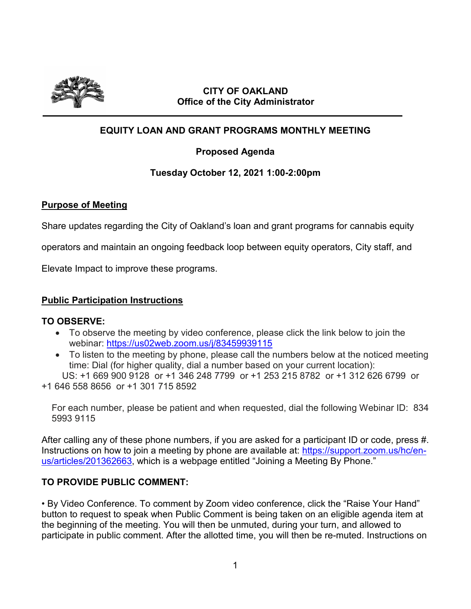

### **CITY OF OAKLAND Office of the City Administrator**

# **EQUITY LOAN AND GRANT PROGRAMS MONTHLY MEETING**

## **Proposed Agenda**

## **Tuesday October 12, 2021 1:00-2:00pm**

### **Purpose of Meeting**

Share updates regarding the City of Oakland's loan and grant programs for cannabis equity

operators and maintain an ongoing feedback loop between equity operators, City staff, and

Elevate Impact to improve these programs.

### **Public Participation Instructions**

### **TO OBSERVE:**

- To observe the meeting by video conference, please click the link below to join the webinar: https://us02web.zoom.us/j/83459939115
- To listen to the meeting by phone, please call the numbers below at the noticed meeting time: Dial (for higher quality, dial a number based on your current location):

 US: +1 669 900 9128 or +1 346 248 7799 or +1 253 215 8782 or +1 312 626 6799 or +1 646 558 8656 or +1 301 715 8592

For each number, please be patient and when requested, dial the following Webinar ID: 834 5993 9115

After calling any of these phone numbers, if you are asked for a participant ID or code, press #. Instructions on how to join a meeting by phone are available at: [https://support.zoom.us/hc/en](https://support.zoom.us/hc/en-us/articles/201362663)[us/articles/201362663,](https://support.zoom.us/hc/en-us/articles/201362663) which is a webpage entitled "Joining a Meeting By Phone."

## **TO PROVIDE PUBLIC COMMENT:**

• By Video Conference. To comment by Zoom video conference, click the "Raise Your Hand" button to request to speak when Public Comment is being taken on an eligible agenda item at the beginning of the meeting. You will then be unmuted, during your turn, and allowed to participate in public comment. After the allotted time, you will then be re-muted. Instructions on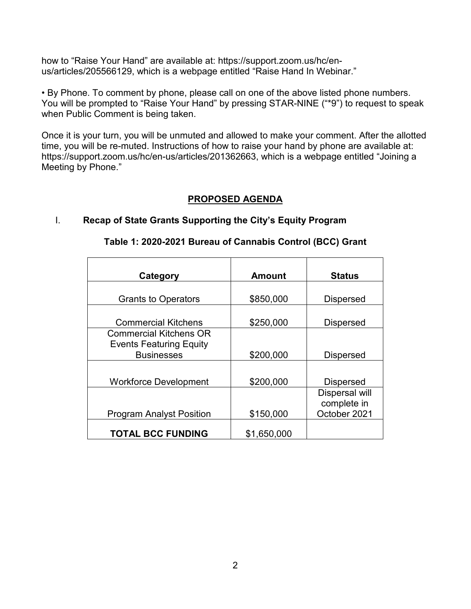how to "Raise Your Hand" are available at: https://support.zoom.us/hc/enus/articles/205566129, which is a webpage entitled "Raise Hand In Webinar."

• By Phone. To comment by phone, please call on one of the above listed phone numbers. You will be prompted to "Raise Your Hand" by pressing STAR-NINE ("\*9") to request to speak when Public Comment is being taken.

Once it is your turn, you will be unmuted and allowed to make your comment. After the allotted time, you will be re-muted. Instructions of how to raise your hand by phone are available at: https://support.zoom.us/hc/en-us/articles/201362663, which is a webpage entitled "Joining a Meeting by Phone."

## **PROPOSED AGENDA**

### I. **Recap of State Grants Supporting the City's Equity Program**

| Category                        | <b>Amount</b> | <b>Status</b>         |
|---------------------------------|---------------|-----------------------|
|                                 |               |                       |
| <b>Grants to Operators</b>      | \$850,000     | <b>Dispersed</b>      |
|                                 |               |                       |
| <b>Commercial Kitchens</b>      | \$250,000     | <b>Dispersed</b>      |
| <b>Commercial Kitchens OR</b>   |               |                       |
| <b>Events Featuring Equity</b>  |               |                       |
| <b>Businesses</b>               | \$200,000     | <b>Dispersed</b>      |
|                                 |               |                       |
| <b>Workforce Development</b>    | \$200,000     | <b>Dispersed</b>      |
|                                 |               | <b>Dispersal will</b> |
|                                 |               | complete in           |
| <b>Program Analyst Position</b> | \$150,000     | October 2021          |
| <b>TOTAL BCC FUNDING</b>        | \$1,650,000   |                       |

#### **Table 1: 2020-2021 Bureau of Cannabis Control (BCC) Grant**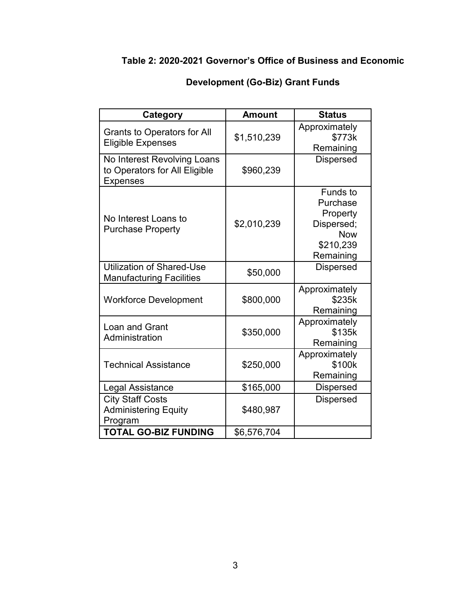# **Table 2: 2020-2021 Governor's Office of Business and Economic**

| Category                                                                        | <b>Amount</b> | <b>Status</b>                                                                                 |
|---------------------------------------------------------------------------------|---------------|-----------------------------------------------------------------------------------------------|
| <b>Grants to Operators for All</b><br><b>Eligible Expenses</b>                  | \$1,510,239   | Approximately<br>\$773k<br>Remaining                                                          |
| No Interest Revolving Loans<br>to Operators for All Eligible<br><b>Expenses</b> | \$960,239     | <b>Dispersed</b>                                                                              |
| No Interest Loans to<br><b>Purchase Property</b>                                | \$2,010,239   | <b>Funds to</b><br>Purchase<br>Property<br>Dispersed;<br><b>Now</b><br>\$210,239<br>Remaining |
| <b>Utilization of Shared-Use</b><br><b>Manufacturing Facilities</b>             | \$50,000      | <b>Dispersed</b>                                                                              |
| <b>Workforce Development</b>                                                    | \$800,000     | Approximately<br>\$235k<br>Remaining                                                          |
| Loan and Grant<br>Administration                                                | \$350,000     | Approximately<br>\$135k<br>Remaining                                                          |
| <b>Technical Assistance</b>                                                     | \$250,000     | Approximately<br>\$100k<br>Remaining                                                          |
| Legal Assistance                                                                | \$165,000     | <b>Dispersed</b>                                                                              |
| <b>City Staff Costs</b><br><b>Administering Equity</b><br>Program               | \$480,987     | <b>Dispersed</b>                                                                              |
| <b>TOTAL GO-BIZ FUNDING</b>                                                     | \$6,576,704   |                                                                                               |

# **Development (Go-Biz) Grant Funds**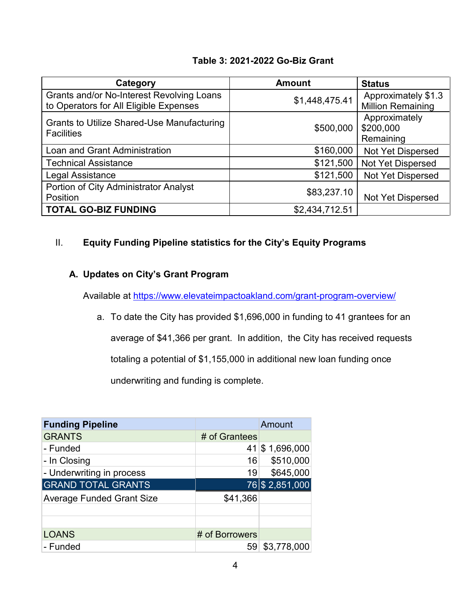### **Table 3: 2021-2022 Go-Biz Grant**

| Category                                                                                   | <b>Amount</b>  | <b>Status</b>                                   |
|--------------------------------------------------------------------------------------------|----------------|-------------------------------------------------|
| <b>Grants and/or No-Interest Revolving Loans</b><br>to Operators for All Eligible Expenses | \$1,448,475.41 | Approximately \$1.3<br><b>Million Remaining</b> |
| <b>Grants to Utilize Shared-Use Manufacturing</b><br><b>Facilities</b>                     | \$500,000      | Approximately<br>\$200,000<br>Remaining         |
| Loan and Grant Administration                                                              | \$160,000      | Not Yet Dispersed                               |
| <b>Technical Assistance</b>                                                                | \$121,500      | Not Yet Dispersed                               |
| Legal Assistance                                                                           | \$121,500      | Not Yet Dispersed                               |
| Portion of City Administrator Analyst<br>Position                                          | \$83,237.10    | <b>Not Yet Dispersed</b>                        |
| <b>TOTAL GO-BIZ FUNDING</b>                                                                | \$2,434,712.51 |                                                 |

## II. **Equity Funding Pipeline statistics for the City's Equity Programs**

## **A. Updates on City's Grant Program**

Available at<https://www.elevateimpactoakland.com/grant-program-overview/>

a. To date the City has provided \$1,696,000 in funding to 41 grantees for an average of \$41,366 per grant. In addition, the City has received requests totaling a potential of \$1,155,000 in additional new loan funding once underwriting and funding is complete.

| <b>Funding Pipeline</b>          |                 | Amount         |
|----------------------------------|-----------------|----------------|
| <b>GRANTS</b>                    | # of Grantees   |                |
| - Funded                         |                 | 41 \$1,696,000 |
| - In Closing                     | 16 <sup>1</sup> | \$510,000      |
| - Underwriting in process        | 19              | \$645,000      |
| <b>GRAND TOTAL GRANTS</b>        |                 | 76 \$2,851,000 |
| <b>Average Funded Grant Size</b> | \$41,366        |                |
|                                  |                 |                |
|                                  |                 |                |
| <b>LOANS</b>                     | # of Borrowers  |                |
| - Funded                         | 59 <sub>1</sub> | \$3,778,000    |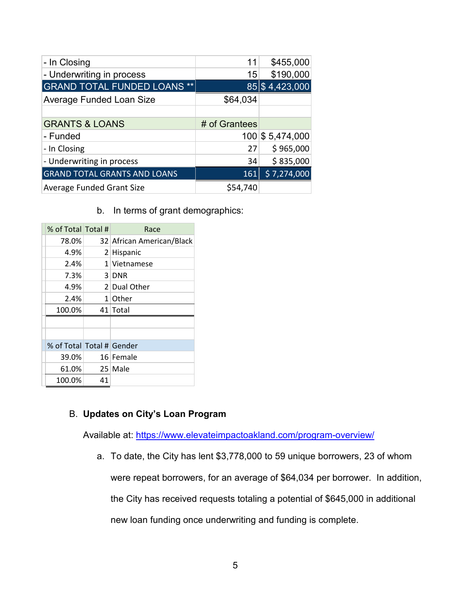| - In Closing                        | 11            | \$455,000        |
|-------------------------------------|---------------|------------------|
| - Underwriting in process           | 15            | \$190,000        |
| <b>GRAND TOTAL FUNDED LOANS **</b>  |               | 85 \$4,423,000   |
| Average Funded Loan Size            | \$64,034      |                  |
|                                     |               |                  |
| <b>GRANTS &amp; LOANS</b>           | # of Grantees |                  |
| - Funded                            |               | 100 \$ 5,474,000 |
| - In Closing                        | 27            | \$965,000        |
| - Underwriting in process           | 34            | \$835,000        |
| <b>GRAND TOTAL GRANTS AND LOANS</b> | 161           | \$7,274,000      |
| Average Funded Grant Size           | \$54,740      |                  |

b. In terms of grant demographics:

| % of Total Total #        |    | Race                      |
|---------------------------|----|---------------------------|
| 78.0%                     |    | 32 African American/Black |
| 4.9%                      |    | 2 Hispanic                |
| 2.4%                      |    | 1 Vietnamese              |
| 7.3%                      |    | 3 DNR                     |
| 4.9%                      |    | 2 Dual Other              |
| 2.4%                      |    | $1$ Other                 |
| 100.0%                    |    | 41 Total                  |
|                           |    |                           |
|                           |    |                           |
| % of Total Total # Gender |    |                           |
| 39.0%                     |    | 16 Female                 |
| 61.0%                     |    | 25 Male                   |
| 100.0%                    | 41 |                           |

## B. **Updates on City's Loan Program**

Available at:<https://www.elevateimpactoakland.com/program-overview/>

a. To date, the City has lent \$3,778,000 to 59 unique borrowers, 23 of whom were repeat borrowers, for an average of \$64,034 per borrower. In addition, the City has received requests totaling a potential of \$645,000 in additional new loan funding once underwriting and funding is complete.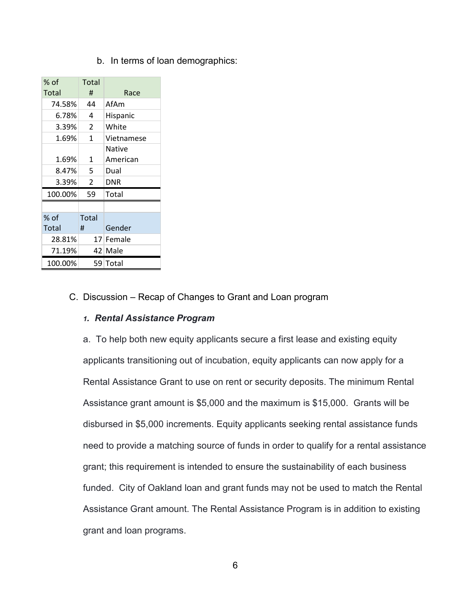b. In terms of loan demographics:

| % of    | Total          |            |
|---------|----------------|------------|
| Total   | #              | Race       |
| 74.58%  | 44             | AfAm       |
| 6.78%   | 4              | Hispanic   |
| 3.39%   | 2              | White      |
| 1.69%   | 1              | Vietnamese |
|         |                | Native     |
| 1.69%   | 1              | American   |
| 8.47%   | 5              | Dual       |
| 3.39%   | $\overline{2}$ | DNR        |
| 100.00% | 59             | Total      |
|         |                |            |
| $%$ of  | Total          |            |
| Total   | #              | Gender     |
| 28.81%  |                | 17 Female  |
| 71.19%  |                | 42 Male    |
| 100.00% |                | 59 Total   |

#### C. Discussion – Recap of Changes to Grant and Loan program

#### *1. Rental Assistance Program*

a. To help both new equity applicants secure a first lease and existing equity applicants transitioning out of incubation, equity applicants can now apply for a Rental Assistance Grant to use on rent or security deposits. The minimum Rental Assistance grant amount is \$5,000 and the maximum is \$15,000. Grants will be disbursed in \$5,000 increments. Equity applicants seeking rental assistance funds need to provide a matching source of funds in order to qualify for a rental assistance grant; this requirement is intended to ensure the sustainability of each business funded. City of Oakland loan and grant funds may not be used to match the Rental Assistance Grant amount. The Rental Assistance Program is in addition to existing grant and loan programs.